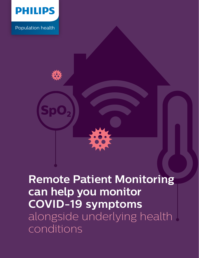

Population health



## **Remote Patient Monitoring can help you monitor COVID-19 symptoms** alongside underlying health conditions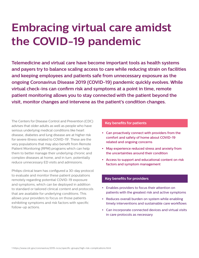# **Embracing virtual care amidst the COVID-19 pandemic**

**Telemedicine and virtual care have become important tools as health systems and payers try to balance scaling access to care while reducing strain on facilities and keeping employees and patients safe from unnecessary exposure as the ongoing Coronavirus Disease 2019 (COVID-19) pandemic quickly evolves. While virtual check-ins can confirm risk and symptoms at a point in time, remote patient monitoring allows you to stay connected with the patient beyond the visit, monitor changes and intervene as the patient's condition changes.**

The Centers for Disease Control and Prevention (CDC) advises that older adults as well as people who have serious underlying medical conditions like heart disease, diabetes and lung disease are at higher risk for severe illness related to COVID-19<sup>1</sup>. These are the very populations that may also benefit from Remote Patient Monitoring (RPM) programs which can help them to better manage their underlying chronic and complex diseases at home, and in turn, potentially reduce unnecessary ED visits and admissions.

Philips clinical team has configured a 30-day protocol to evaluate and monitor these patient populations remotely regarding potential COVID-19 exposure and symptoms, which can be deployed in addition to standard or tailored clinical content and protocols that are available for underlying conditions. This allows your providers to focus on those patients exhibiting symptoms and risk factors with specific follow-up actions.

#### **Key benefits for patients**

- **•** Can proactively connect with providers from the comfort and safety of home about COVID-19 related and ongoing concerns
- **•** May experience reduced stress and anxiety from the uncertainties around their condition
- **•** Access to support and educational content on risk factors and symptom management

#### **Key benefits for providers**

- **•** Enables providers to focus their attention on patients with the greatest risk and active symptoms
- **•** Reduces overall burden on system while enabling timely interventions and sustainable care workflows
- **•** Can incorporate connected devices and virtual visits in care protocols as necessary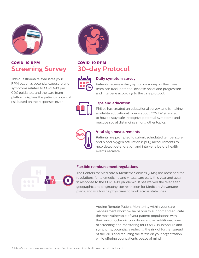

## **COVID-19 RPM Screening Survey**

This questionnaire evaluates your RPM patient's potential exposure and symptoms related to COVID-19 per CDC guidance, and the care team platform displays the patient's potential risk based on the responses given.



## **COVID-19 RPM 30-day Protocol**



#### **Daily symptom survey**

Patients receive a daily symptom survey so their care team can track potential disease onset and progression and intervene according to the care protocol.



#### **Tips and education**

Philips has created an educational survey, and is making available educational videos about COVID-19 related to how to stay safe, recognize potential symptoms and practice social distancing among other topics.



#### **Vital sign measurements**

Patients are prompted to submit scheduled temperature and blood oxygen saturation  $(SpO<sub>2</sub>)$  measurements to help detect deterioration and intervene before health events escalate.

#### **Flexible reimbursement regulations**

The Centers for Medicare & Medicaid Services (CMS) has loosened the regulations for telemedicine and virtual care early this year and again in response to the COVID-19 pandemic. It has waived the telehealth geographic and originating site restriction for Medicare Advantage plans, and is allowing physicians to work across state lines<sup>2</sup>.

> Adding Remote Patient Monitoring within your care management workflow helps you to support and educate the most vulnerable of your patient populations with their existing chronic conditions and an additional layer of screening and monitoring for COVID-19 exposure and symptoms, potentially reducing the risk of further spread of the virus and reducing the strain on your organization while offering your patients peace of mind.